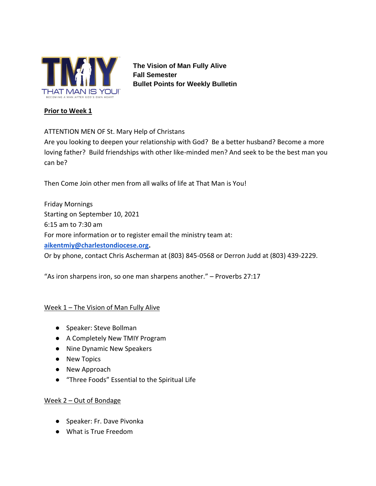

**The Vision of Man Fully Alive Fall Semester Bullet Points for Weekly Bulletin**

#### **Prior to Week 1**

# ATTENTION MEN OF St. Mary Help of Christans

Are you looking to deepen your relationship with God? Be a better husband? Become a more loving father? Build friendships with other like-minded men? And seek to be the best man you can be?

Then Come Join other men from all walks of life at That Man is You!

Friday Mornings Starting on September 10, 2021 6:15 am to 7:30 am For more information or to register email the ministry team at: **[aikentmiy@charlestondiocese.org.](mailto:aikentmiy@charlestondiocese.org)**  Or by phone, contact Chris Ascherman at (803) 845-0568 or Derron Judd at (803) 439-2229.

"As iron sharpens iron, so one man sharpens another." – Proverbs 27:17

# Week 1 - The Vision of Man Fully Alive

- Speaker: Steve Bollman
- A Completely New TMIY Program
- Nine Dynamic New Speakers
- New Topics
- New Approach
- "Three Foods" Essential to the Spiritual Life

#### Week 2 – Out of Bondage

- Speaker: Fr. Dave Pivonka
- What is True Freedom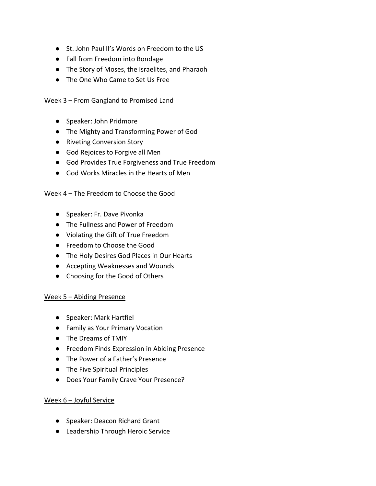- St. John Paul II's Words on Freedom to the US
- Fall from Freedom into Bondage
- The Story of Moses, the Israelites, and Pharaoh
- The One Who Came to Set Us Free

#### Week 3 – From Gangland to Promised Land

- Speaker: John Pridmore
- The Mighty and Transforming Power of God
- Riveting Conversion Story
- God Rejoices to Forgive all Men
- God Provides True Forgiveness and True Freedom
- God Works Miracles in the Hearts of Men

#### Week 4 – The Freedom to Choose the Good

- Speaker: Fr. Dave Pivonka
- The Fullness and Power of Freedom
- Violating the Gift of True Freedom
- Freedom to Choose the Good
- The Holy Desires God Places in Our Hearts
- Accepting Weaknesses and Wounds
- Choosing for the Good of Others

# Week 5 – Abiding Presence

- Speaker: Mark Hartfiel
- Family as Your Primary Vocation
- The Dreams of TMIY
- Freedom Finds Expression in Abiding Presence
- The Power of a Father's Presence
- The Five Spiritual Principles
- Does Your Family Crave Your Presence?

#### Week 6 – Joyful Service

- Speaker: Deacon Richard Grant
- Leadership Through Heroic Service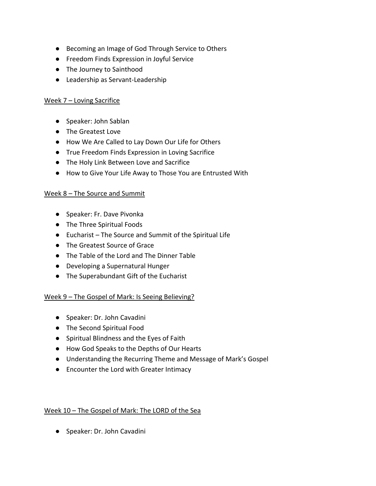- Becoming an Image of God Through Service to Others
- Freedom Finds Expression in Joyful Service
- The Journey to Sainthood
- Leadership as Servant-Leadership

# Week 7 – Loving Sacrifice

- Speaker: John Sablan
- The Greatest Love
- How We Are Called to Lay Down Our Life for Others
- True Freedom Finds Expression in Loving Sacrifice
- The Holy Link Between Love and Sacrifice
- How to Give Your Life Away to Those You are Entrusted With

# Week 8 – The Source and Summit

- Speaker: Fr. Dave Pivonka
- The Three Spiritual Foods
- Eucharist The Source and Summit of the Spiritual Life
- The Greatest Source of Grace
- The Table of the Lord and The Dinner Table
- Developing a Supernatural Hunger
- The Superabundant Gift of the Eucharist

# Week 9 – The Gospel of Mark: Is Seeing Believing?

- Speaker: Dr. John Cavadini
- The Second Spiritual Food
- Spiritual Blindness and the Eyes of Faith
- How God Speaks to the Depths of Our Hearts
- Understanding the Recurring Theme and Message of Mark's Gospel
- Encounter the Lord with Greater Intimacy

# Week 10 – The Gospel of Mark: The LORD of the Sea

● Speaker: Dr. John Cavadini